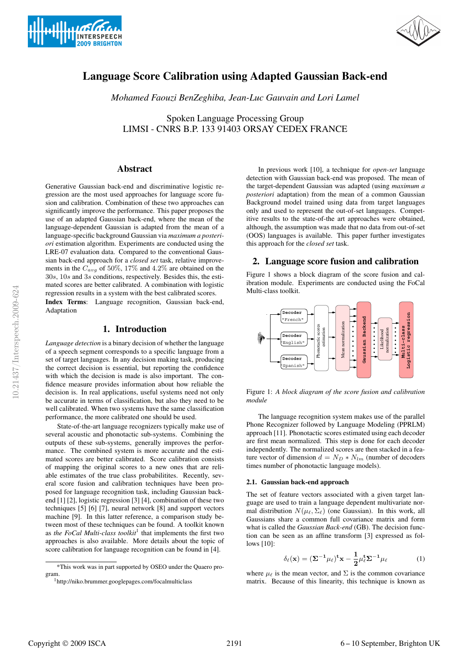



# Language Score Calibration using Adapted Gaussian Back-end

*Mohamed Faouzi BenZeghiba, Jean-Luc Gauvain and Lori Lamel*

Spoken Language Processing Group LIMSI - CNRS B.P. 133 91403 ORSAY CEDEX FRANCE

# Abstract

Generative Gaussian back-end and discriminative logistic regression are the most used approaches for language score fusion and calibration. Combination of these two approaches can significantly improve the performance. This paper proposes the use of an adapted Gaussian back-end, where the mean of the language-dependent Gaussian is adapted from the mean of a language-specific background Gaussian via *maximum a posteriori* estimation algorithm. Experiments are conducted using the LRE-07 evaluation data. Compared to the conventional Gaussian back-end approach for a *closed set* task, relative improvements in the Cavg of 50%, 17% and 4.2% are obtained on the 30s, 10s and 3s conditions, respectively. Besides this, the estimated scores are better calibrated. A combination with logistic regression results in a system with the best calibrated scores.

Index Terms: Language recognition, Gaussian back-end, Adaptation

# 1. Introduction

*Language detection* is a binary decision of whether the language of a speech segment corresponds to a specific language from a set of target languages. In any decision making task, producing the correct decision is essential, but reporting the confidence with which the decision is made is also important. The confidence measure provides information about how reliable the decision is. In real applications, useful systems need not only be accurate in terms of classification, but also they need to be well calibrated. When two systems have the same classification performance, the more calibrated one should be used.

State-of-the-art language recognizers typically make use of several acoustic and phonotactic sub-systems. Combining the outputs of these sub-systems, generally improves the performance. The combined system is more accurate and the estimated scores are better calibrated. Score calibration consists of mapping the original scores to a new ones that are reliable estimates of the true class probabilitites. Recently, several score fusion and calibration techniques have been proposed for language recognition task, including Gaussian backend [1] [2], logistic regression [3] [4], combination of these two techniques [5] [6] [7], neural network [8] and support vectors machine [9]. In this latter reference, a comparison study between most of these techniques can be found. A toolkit known as *the FoCal Multi-class toolkit*<sup>1</sup> that implements the first two approaches is also available. More details about the topic of score calibration for language recognition can be found in [4].

In previous work [10], a technique for *open-set* language detection with Gaussian back-end was proposed. The mean of the target-dependent Gaussian was adapted (using *maximum a posteriori* adaptation) from the mean of a common Gaussian Background model trained using data from target languages only and used to represent the out-of-set languages. Competitive results to the state-of-the art approaches were obtained, although, the assumption was made that no data from out-of-set (OOS) languages is available. This paper further investigates this approach for the *closed set* task.

# 2. Language score fusion and calibration

Figure 1 shows a block diagram of the score fusion and calibration module. Experiments are conducted using the FoCal Multi-class toolkit.



Figure 1: *A block diagram of the score fusion and calibration module*

The language recognition system makes use of the parallel Phone Recognizer followed by Language Modeling (PPRLM) approach [11]. Phonotactic scores estimated using each decoder are first mean normalized. This step is done for each decoder independently. The normalized scores are then stacked in a feature vector of dimension  $d = N_D * N_{lm}$  (number of decoders times number of phonotactic language models).

#### 2.1. Gaussian back-end approach

The set of feature vectors associated with a given target language are used to train a language dependent multivariate normal distribution  $N(\mu_{\ell}, \Sigma_{\ell})$  (one Gaussian). In this work, all Gaussians share a common full covariance matrix and form what is called the *Gaussian Back-end* (GB). The decision function can be seen as an affine transform [3] expressed as follows [10]:

$$
\delta_{\ell}(\mathbf{x}) = (\Sigma^{-1} \mu_{\ell})^{\mathbf{t}} \mathbf{x} - \frac{1}{2} \mu_{\ell}^{\mathbf{t}} \Sigma^{-1} \mu_{\ell}
$$
 (1)

where  $\mu_{\ell}$  is the mean vector, and  $\Sigma$  is the common covariance matrix. Because of this linearity, this technique is known as

<sup>\*</sup>This work was in part supported by OSEO under the Quaero program.

<sup>1</sup>http://niko.brummer.googlepages.com/focalmulticlass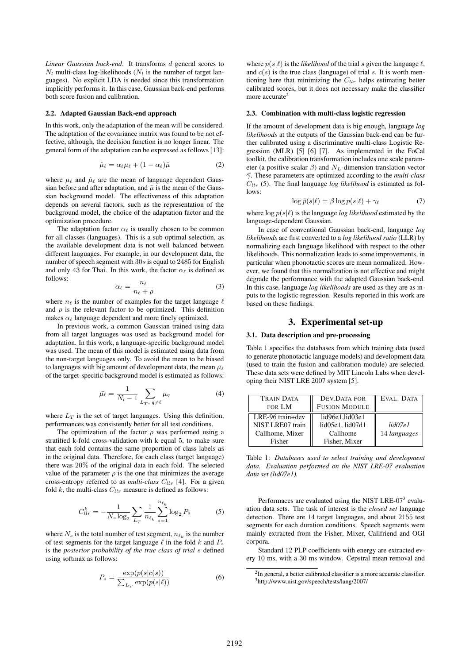*Linear Gaussian back-end*. It transforms d general scores to  $N_l$  multi-class log-likelihoods ( $N_l$  is the number of target languages). No explicit LDA is needed since this transformation implicitly performs it. In this case, Gaussian back-end performs both score fusion and calibration.

#### 2.2. Adapted Gaussian Back-end approach

In this work, only the adaptation of the mean will be considered. The adaptation of the covariance matrix was found to be not effective, although, the decision function is no longer linear. The general form of the adaptation can be expressed as follows [13]:

$$
\hat{\mu}_{\ell} = \alpha_{\ell} \mu_{\ell} + (1 - \alpha_{\ell}) \bar{\mu} \tag{2}
$$

where  $\mu_{\ell}$  and  $\hat{\mu}_{\ell}$  are the mean of language dependent Gaussian before and after adaptation, and  $\bar{\mu}$  is the mean of the Gaussian background model. The effectiveness of this adaptation depends on several factors, such as the representation of the background model, the choice of the adaptation factor and the optimization procedure.

The adaptation factor  $\alpha_{\ell}$  is usually chosen to be common for all classes (languages). This is a sub-optimal selection, as the available development data is not well balanced between different languages. For example, in our development data, the number of speech segment with 30s is equal to 2485 for English and only 43 for Thai. In this work, the factor  $\alpha_{\ell}$  is defined as follows:

$$
\alpha_{\ell} = \frac{n_{\ell}}{n_{\ell} + \rho} \tag{3}
$$

where  $n_{\ell}$  is the number of examples for the target language  $\ell$ and  $\rho$  is the relevant factor to be optimized. This definition makes  $\alpha_{\ell}$  language dependent and more finely optimized.

In previous work, a common Gaussian trained using data from all target languages was used as background model for adaptation. In this work, a language-specific background model was used. The mean of this model is estimated using data from the non-target languages only. To avoid the mean to be biased to languages with big amount of development data, the mean  $\bar{\mu}_\ell$ of the target-specific background model is estimated as follows:

$$
\bar{\mu}_{\ell} = \frac{1}{N_l - 1} \sum_{L_T, q \neq \ell} \mu_q \tag{4}
$$

where  $L_T$  is the set of target languages. Using this definition, performances was consistently better for all test conditions.

The optimization of the factor  $\rho$  was performed using a stratified k-fold cross-validation with k equal 5, to make sure that each fold contains the same proportion of class labels as in the original data. Therefore, for each class (target language) there was 20% of the original data in each fold. The selected value of the parameter  $\rho$  is the one that minimizes the average cross-entropy referred to as *multi-class*  $C_{llr}$  [4]. For a given fold  $k$ , the multi-class  $C_{llr}$  measure is defined as follows:

$$
C_{llr}^{k} = -\frac{1}{N_s \log_2 \sum_{L_T} \frac{1}{n_{\ell_k}} \sum_{s=1}^{n_{\ell_k}} \log_2 P_s
$$
 (5)

where  $N_s$  is the total number of test segment,  $n_{\ell_k}$  is the number of test segments for the target language  $\ell$  in the fold k and  $P_s$ is the *posterior probability of the true class of trial* s defined using softmax as follows:

$$
P_s = \frac{\exp(p(s|c(s))}{\sum_{L_T} \exp(p(s|\ell))}
$$
(6)

where  $p(s|\ell)$  is the *likelihood* of the trial s given the language  $\ell$ , and  $c(s)$  is the true class (language) of trial s. It is worth mentioning here that minimizing the  $C_{llr}$  helps estimating better calibrated scores, but it does not necessary make the classifier more accurate<sup>2</sup>

#### 2.3. Combination with multi-class logistic regression

If the amount of development data is big enough, language *log likelihoods* at the outputs of the Gaussian back-end can be further calibrated using a discriminative multi-class Logistic Regression (MLR) [5] [6] [7]. As implemented in the FoCal toolkit, the calibration transformation includes one scale parameter (a positive scalar  $\beta$ ) and  $N_L$ -dimension translation vector γ. These parameters are optimized according to the *multi-class*  $C_{llr}$  (5). The final language *log likelihood* is estimated as follows:

$$
\log \hat{p}(s|\ell) = \beta \log p(s|\ell) + \gamma_{\ell} \tag{7}
$$

where  $\log p(s|\ell)$  is the language *log likelihood* estimated by the language-dependent Gaussian.

In case of conventional Gaussian back-end, language *log likelihoods* are first converted to a *log likelihood ratio* (LLR) by normalizing each language likelihood with respect to the other likelihoods. This normalization leads to some improvements, in particular when phonotactic scores are mean normalized. However, we found that this normalization is not effective and might degrade the performance with the adapted Gaussian back-end. In this case, language *log likelihoods* are used as they are as inputs to the logistic regression. Results reported in this work are based on these findings.

### 3. Experimental set-up

#### 3.1. Data description and pre-processing

Table 1 specifies the databases from which training data (used to generate phonotactic language models) and development data (used to train the fusion and calibration module) are selected. These data sets were defined by MIT Lincoln Labs when developing their NIST LRE 2007 system [5].

| <b>TRAIN DATA</b> | DEV.DATA FOR         | EVAL. DATA   |
|-------------------|----------------------|--------------|
| FOR LM            | <b>FUSION MODULE</b> |              |
| LRE-96 train+dev  | lid96e1,lid03e1      |              |
| NIST LRE07 train  | lid05e1, lid07d1     | lid07e1      |
| Callhome, Mixer   | Callhome             | 14 languages |
| Fisher            | Fisher, Mixer        |              |

Table 1: *Databases used to select training and development data. Evaluation performed on the NIST LRE-07 evaluation data set (lid07e1).*

Performaces are evaluated using the NIST LRE-07 $3$  evaluation data sets. The task of interest is the *closed set* language detection. There are 14 target languages, and about 2155 test segments for each duration conditions. Speech segments were mainly extracted from the Fisher, Mixer, Callfriend and OGI corpora.

Standard 12 PLP coefficients with energy are extracted every 10 ms, with a 30 ms window. Cepstral mean removal and

 $2$ In general, a better calibrated classifier is a more accurate classifier. 3http://www.nist.gov/speech/tests/lang/2007/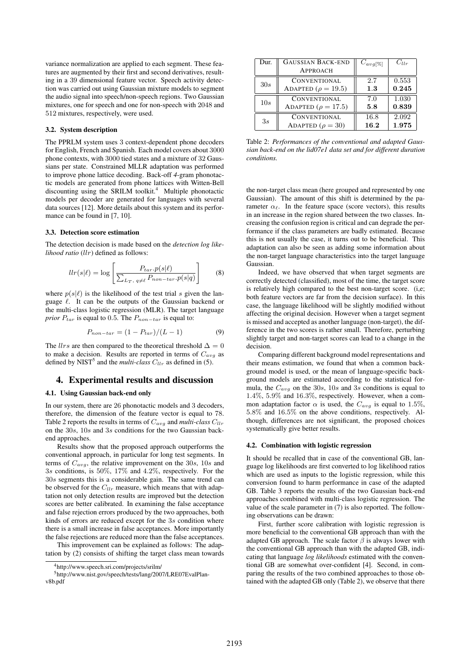variance normalization are applied to each segment. These features are augmented by their first and second derivatives, resulting in a 39 dimensional feature vector. Speech activity detection was carried out using Gaussian mixture models to segment the audio signal into speech/non-speech regions. Two Gaussian mixtures, one for speech and one for non-speech with 2048 and 512 mixtures, respectively, were used.

#### 3.2. System description

The PPRLM system uses 3 context-dependent phone decoders for English, French and Spanish. Each model covers about 3000 phone contexts, with 3000 tied states and a mixture of 32 Gaussians per state. Constrained MLLR adaptation was performed to improve phone lattice decoding. Back-off *4*-gram phonotactic models are generated from phone lattices with Witten-Bell discounting using the SRILM toolkit.<sup>4</sup> Multiple phonotactic models per decoder are generated for languages with several data sources [12]. More details about this system and its performance can be found in [7, 10].

#### 3.3. Detection score estimation

The detection decision is made based on the *detection log likelihood ratio* (llr) defined as follows:

$$
llr(s|\ell) = \log \left[ \frac{P_{tar}.p(s|\ell)}{\sum_{L_T, q \neq \ell} P_{non-tar}.p(s|q)} \right]
$$
(8)

where  $p(s|\ell)$  is the likelihood of the test trial s given the language  $\ell$ . It can be the outputs of the Gaussian backend or the multi-class logistic regression (MLR). The target language *prior*  $P_{tar}$  is equal to 0.5. The  $P_{non-tar}$  is equal to:

$$
P_{non-tar} = (1 - P_{tar})/(L - 1)
$$
\n(9)

The *llrs* are then compared to the theoretical threshold  $\Delta = 0$ to make a decision. Results are reported in terms of  $C_{avg}$  as defined by NIST<sup>5</sup> and the *multi-class*  $C_{llr}$  as defined in (5).

### 4. Experimental results and discussion

#### 4.1. Using Gaussian back-end only

In our system, there are 26 phonotactic models and 3 decoders, therefore, the dimension of the feature vector is equal to 78. Table 2 reports the results in terms of  $C_{avg}$  and *multi-class*  $C_{llr}$ on the 30s, 10s and 3s conditions for the two Gaussian backend approaches.

Results show that the proposed approach outperforms the conventional approach, in particular for long test segments. In terms of  $C_{avg}$ , the relative improvement on the 30s, 10s and 3s conditions, is 50%, 17% and 4.2%, respectively. For the 30s segments this is a considerable gain. The same trend can be observed for the  $C_{llr}$  measure, which means that with adaptation not only detection results are improved but the detection scores are better calibrated. In examining the false acceptance and false rejection errors produced by the two approaches, both kinds of errors are reduced except for the 3s condition where there is a small increase in false acceptances. More importantly the false rejections are reduced more than the false acceptances.

This improvement can be explained as follows: The adaptation by (2) consists of shifting the target class mean towards

| Dur. | <b>GAUSSIAN BACK-END</b>  | $C_{avg[\%]}$ | $C_{llr}$ |
|------|---------------------------|---------------|-----------|
|      | <b>APPROACH</b>           |               |           |
| 30s  | CONVENTIONAL              | 2.7           | 0.553     |
|      | ADAPTED ( $\rho = 19.5$ ) | 1.3           | 0.245     |
| 10s  | <b>CONVENTIONAL</b>       | 7.0           | 1.030     |
|      | ADAPTED ( $\rho = 17.5$ ) | 5.8           | 0.839     |
| 3s   | CONVENTIONAL              | 16.8          | 2.092     |
|      | ADAPTED ( $\rho = 30$ )   | 16.2          | 1.975     |

Table 2: *Performances of the conventional and adapted Gaussian back-end on the lid07e1 data set and for different duration conditions.*

the non-target class mean (here grouped and represented by one Gaussian). The amount of this shift is determined by the parameter  $\alpha_{\ell}$ . In the feature space (score vectors), this results in an increase in the region shared between the two classes. Increasing the confusion region is critical and can degrade the performance if the class parameters are badly estimated. Because this is not usually the case, it turns out to be beneficial. This adaptation can also be seen as adding some information about the non-target language characteristics into the target language Gaussian.

Indeed, we have observed that when target segments are correctly detected (classified), most of the time, the target score is relatively high compared to the best non-target score. (i,e; both feature vectors are far from the decision surface). In this case, the language likelihood will be slightly modified without affecting the original decision. However when a target segment is missed and accepted as another language (non-target), the difference in the two scores is rather small. Therefore, perturbing slightly target and non-target scores can lead to a change in the decision.

Comparing different background model representations and their means estimation, we found that when a common background model is used, or the mean of language-specific background models are estimated according to the statistical formula, the  $C_{avg}$  on the 30s, 10s and 3s conditions is equal to 1.4%, 5.9% and 16.3%, respectively. However, when a common adaptation factor  $\alpha$  is used, the  $C_{avg}$  is equal to 1.5%, 5.8% and 16.5% on the above conditions, respectively. Although, differences are not significant, the proposed choices systematically give better results.

### 4.2. Combination with logistic regression

It should be recalled that in case of the conventional GB, language log likelihoods are first converted to log likelihood ratios which are used as inputs to the logistic regression, while this conversion found to harm performance in case of the adapted GB. Table 3 reports the results of the two Gaussian back-end approaches combined with multi-class logistic regression. The value of the scale parameter in (7) is also reported. The following observations can be drawn:

First, further score calibration with logistic regression is more beneficial to the conventional GB approach than with the adapted GB approach. The scale factor  $\beta$  is always lower with the conventional GB approach than with the adapted GB, indicating that language *log likelihoods* estimated with the conventional GB are somewhat over-confident [4]. Second, in comparing the results of the two combined approaches to those obtained with the adapted GB only (Table 2), we observe that there

<sup>4</sup>http://www.speech.sri.com/projects/srilm/

<sup>5</sup>http://www.nist.gov/speech/tests/lang/2007/LRE07EvalPlanv8b.pdf